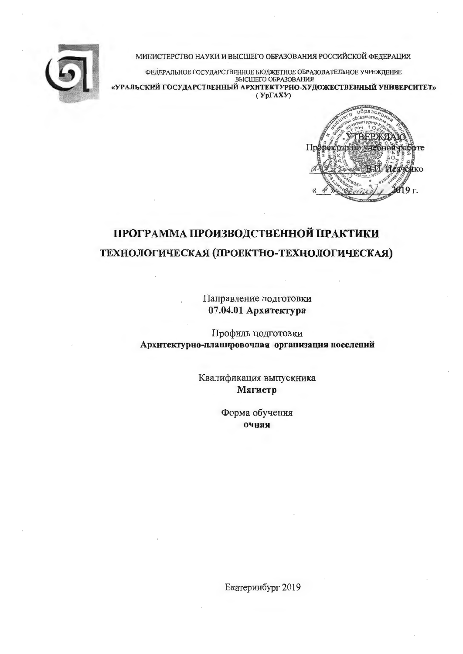

МИНИСТЕРСТВО НАУКИ И ВЫСШЕГО ОБРАЗОВАНИЯ РОССИЙСКОЙ ФЕДЕРАЦИИ

ФЕДЕРАЛЬНОЕ ГОСУДАРСТВЕННОЕ БЮДЖЕТНОЕ ОБРАЗОВАТЕЛЬНОЕ УЧРЕЖДЕНИЕ ВЫСШЕГО ОБРАЗОВАНИЯ «УРАЛЬСКИЙ ГОСУДАРСТВЕННЫЙ АРХИТЕКТУРНО-ХУДОЖЕСТВЕННЫЙ УНИВЕРСИТЕТ»  $(Yp\Gamma A X Y)$ 



# ПРОГРАММА ПРОИЗВОДСТВЕННОЙ ПРАКТИКИ ТЕХНОЛОГИЧЕСКАЯ (ПРОЕКТНО-ТЕХНОЛОГИЧЕСКАЯ)

Направление подготовки 07.04.01 Архитектура

Профиль подготовки Архитектурно-планировочная организация поселений

> Квалификация выпускника Магистр

> > Форма обучения очная

Екатеринбург 2019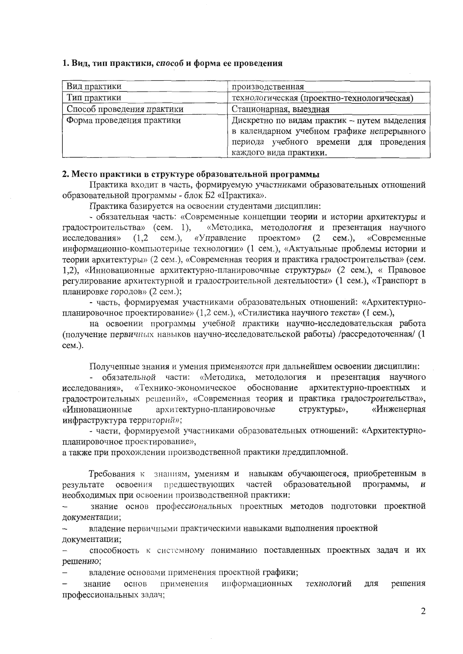#### 1. Вид, тип практики, способ и форма ее проведения

| Вид практики               | производственная                                                                                                                                                |
|----------------------------|-----------------------------------------------------------------------------------------------------------------------------------------------------------------|
| Тип практики               | технологическая (проектно-технологическая)                                                                                                                      |
| Способ проведения практики | Стационарная, выездная                                                                                                                                          |
| Форма проведения практики  | Дискретно по видам практик - путем выделения<br>в календарном учебном графике непрерывного<br>периода учебного времени для проведения<br>каждого вида практики. |

#### 2. Место практики в структуре образовательной программы

Практика входит в часть, формируемую участниками образовательных отношений образовательной программы - блок Б2 «Практика».

Практика базируется на освоении студентами дисциплин:

- обязательная часть: «Современные концепции теории и истории архитектуры и «Методика, методология и презентация научного градостроительства» (сем. 1), «Управление проектом»  $cem.$ ), «Современные исследования»  $(1,2)$  $CEM.$ ),  $(2)$ информационно-компьютерные технологии» (1 сем.), «Актуальные проблемы истории и теории архитектуры» (2 сем.), «Современная теория и практика градостроительства» (сем. 1,2), «Инновационные архитектурно-планировочные структуры» (2 сем.), « Правовое регулирование архитектурной и градостроительной деятельности» (1 сем.), «Транспорт в планировке городов» (2 сем.);

- часть, формируемая участниками образовательных отношений: «Архитектурнопланировочное проектирование» (1,2 сем.), «Стилистика научного текста» (1 сем.),

на освоении программы учебной практики научно-исследовательская работа (получение первичных навыков научно-исследовательской работы) /рассредоточенная/ (1  $cem.).$ 

Полученные знания и умения применяются при дальнейшем освоении дисциплин:

- обязательной части: «Методика, методология и презентация научного «Технико-экономическое обоснование архитектурно-проектных и исследования», градостроительных решений», «Современная теория и практика градостроительства», архитектурно-планировочные структуры», «Инженерная «Инновационные инфраструктура территорий»;

- части, формируемой участниками образовательных отношений: «Архитектурнопланировочное проектирование»,

а также при прохождении производственной практики преддипломной.

Требования к знашиям, умениям и навыкам обучающегося, приобретенным в частей образовательной программы, результате освоения предшествующих  $\mathbf H$ необходимых при освоении производственной практики:

знание основ профессиональных проектных методов подготовки проектной документации;

владение первичными практическими навыками выполнения проектной документации;

способность к системному пониманию поставленных проектных задач и их решению;

владение основами применения проектной графики;

информационных применения технологий для решения знание основ профессиональных задач;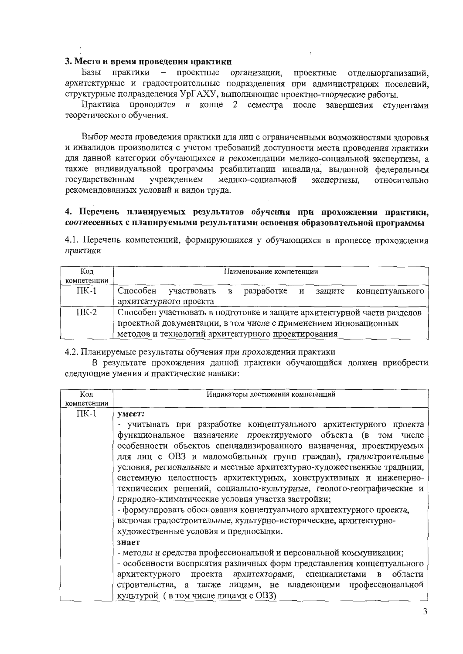#### 3. Место и время проведения практики

практики - проектные Базы организации, проектные отделью рганизаций, архитектурные и градостроительные подразделения при администрациях поселений. структурные подразделения УрГАХУ, выполняющие проектно-творческие работы.

Практика проводится в конце 2 семестра после завершения студентами теоретического обучения.

Выбор места проведения практики для лиц с ограниченными возможностями здоровья и инвалидов производится с учетом требований доступности места проведения практики для данной категории обучающихся и рекомендации медико-социальной экспертизы, а также индивидуальной программы реабилитации инвалида, выданной федеральным государственным учреждением медико-социальной экспертизы, относительно рекомендованных условий и видов труда.

### 4. Перечень планируемых результатов обучения при прохождении практики, соотнесенных с планируемыми результатами освоения образовательной программы

4.1. Перечень компетенций, формирующихся у обучающихся в процессе прохождения практики

| Код           | Наименование компетенции                                                |  |  |  |  |
|---------------|-------------------------------------------------------------------------|--|--|--|--|
| компетенции   |                                                                         |  |  |  |  |
| $\Pi K-1$     | разработке и защите<br>Способен<br>участвовать в<br>концептуального     |  |  |  |  |
|               | архитектурного проекта                                                  |  |  |  |  |
| $\text{TK-2}$ | Способен участвовать в подготовке и защите архитектурной части разделов |  |  |  |  |
|               | проектной документации, в том числе с применением инновационных         |  |  |  |  |
|               | методов и технологий архитектурного проектирования                      |  |  |  |  |

4.2. Планируемые результаты обучения при прохождении практики

В результате прохождения данной практики обучающийся должен приобрести следующие умения и практические навыки:

| Код         | Индикаторы достижения компетенций                                             |  |  |  |  |  |
|-------------|-------------------------------------------------------------------------------|--|--|--|--|--|
| компетенции |                                                                               |  |  |  |  |  |
| $\Pi K-1$   | умеет:                                                                        |  |  |  |  |  |
|             | - учитывать при разработке концептуального архитектурного проекта             |  |  |  |  |  |
|             | функциональное назначение проектируемого объекта (в<br>TOM<br>числе           |  |  |  |  |  |
|             | особенности объектов специализированного назначения, проектируемых            |  |  |  |  |  |
|             | для лиц с ОВЗ и маломобильных групп граждан), градостроительные               |  |  |  |  |  |
|             | условия, региональные и местные архитектурно-художественные традиции,         |  |  |  |  |  |
|             | системную целостность архитектурных, конструктивных и инженерно-              |  |  |  |  |  |
|             | технических решений, социально-культурные, геолого-географические и           |  |  |  |  |  |
|             | природно-климатические условия участка застройки;                             |  |  |  |  |  |
|             | - формулировать обоснования концептуального архитектурного проекта,           |  |  |  |  |  |
|             | включая градостроительные, культурно-исторические, архитектурно-              |  |  |  |  |  |
|             | художественные условия и предпосылки.                                         |  |  |  |  |  |
|             | знает                                                                         |  |  |  |  |  |
|             | - методы и средства профессиональной и персональной коммуникации;             |  |  |  |  |  |
|             | - особенности восприятия различных форм представления концептуального         |  |  |  |  |  |
|             | проекта архитекторами, специалистами<br>области<br>архитектурного<br>$\bf{B}$ |  |  |  |  |  |
|             | строительства, а также лицами, не владеющими профессиональной                 |  |  |  |  |  |
|             | культурой (в том числе лицами с ОВЗ)                                          |  |  |  |  |  |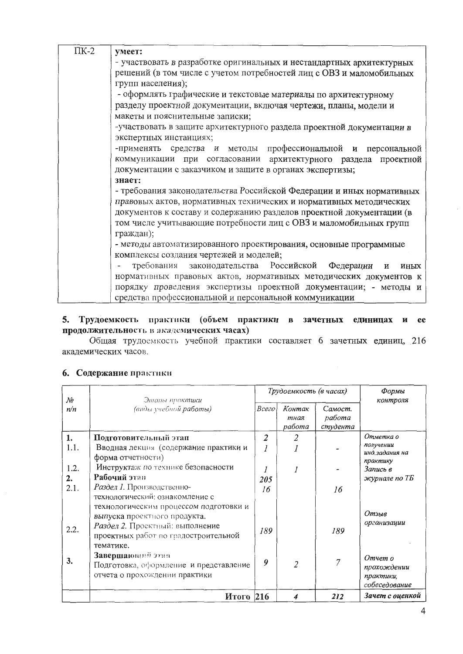| $\Pi K-2$ | умеет:                                                                |  |  |  |
|-----------|-----------------------------------------------------------------------|--|--|--|
|           | - участвовать в разработке оригинальных и нестандартных архитектурных |  |  |  |
|           | решений (в том числе с учетом потребностей лиц с ОВЗ и маломобильных  |  |  |  |
|           | групп населения);                                                     |  |  |  |
|           | - оформлять графические и текстовые материалы по архитектурному       |  |  |  |
|           | разделу проектной документации, включая чертежи, планы, модели и      |  |  |  |
|           | макеты и пояснительные записки;                                       |  |  |  |
|           | -участвовать в защите архитектурного раздела проектной документации в |  |  |  |
|           | экспертных инстанциях;                                                |  |  |  |
|           | -применять средства и методы профессиональной и персональной          |  |  |  |
|           | коммуникации при согласовании архитектурного раздела проектной        |  |  |  |
|           | документации с заказчиком и защите в органах экспертизы;              |  |  |  |
|           | знает:                                                                |  |  |  |
|           | - требования законодательства Российской Федерации и иных нормативных |  |  |  |
|           | правовых актов, нормативных технических и нормативных методических    |  |  |  |
|           | документов к составу и содержанию разделов проектной документации (в  |  |  |  |
|           | том числе учитывающие потребности лиц с ОВЗ и маломобильных групп     |  |  |  |
|           | граждан);                                                             |  |  |  |
|           | - методы автоматизированного проектирования, основные программные     |  |  |  |
|           | комплексы создания чертежей и моделей;                                |  |  |  |
|           | требования законодательства Российской Федерации<br>И<br>иных         |  |  |  |
|           | нормативных правовых актов, нормативных методических документов к     |  |  |  |
|           | порядку проведения экспертизы проектной документации; - методы и      |  |  |  |
|           | средства профессиональной и персональной коммуникации                 |  |  |  |

# 5. Трудоемкость практики (объем практики в зачетных единицах и ее продолжительность в академических часах)

Общая трудоемкость учебной практики составляет 6 зачетных единиц, 216 академических часов.

| No         | Этапы практики                                                                                                       | Трудоемкость (в часах) |                          | Формы<br>контроля             |                                                      |
|------------|----------------------------------------------------------------------------------------------------------------------|------------------------|--------------------------|-------------------------------|------------------------------------------------------|
| n/n        | (виды учебной работы)                                                                                                | Всего                  | Контак<br>тная<br>работа | Самост.<br>работа<br>студента |                                                      |
| 1.<br>1.1. | Подготовительный этап<br>Вводная лекция (содержание практики и                                                       | $\overline{2}$         | 2                        |                               | Отметка о<br>получении<br>инд.задания на             |
| 1.2.<br>2. | форма отчетности)<br>Инструктаж по технике безопасности<br>Рабочий этап                                              | 205                    |                          |                               | практику<br>Запись в<br>журнале по ТБ                |
| 2.1.       | Раздел 1. Производственно-<br>технологический: ознакомление с<br>технологическим процессом подготовки и              | 16                     |                          | 16                            |                                                      |
| 2.2.       | выпуска проектного продукта.<br>Раздел 2. Проектный: выполнение<br>проектных работ по градостроительной<br>тематике. | 189                    |                          | 189                           | Отзыв<br>организации                                 |
| 3.         | Завершающий этап<br>Подготовка, оформление и представление<br>отчета о прохождении практики                          | 9                      | $\overline{2}$           | 7                             | Отчет о<br>прохождении<br>практики,<br>собеседование |
|            | Итого 216                                                                                                            |                        | 4                        | 212                           | Зачет с оценкой                                      |

# 6. Содержание практики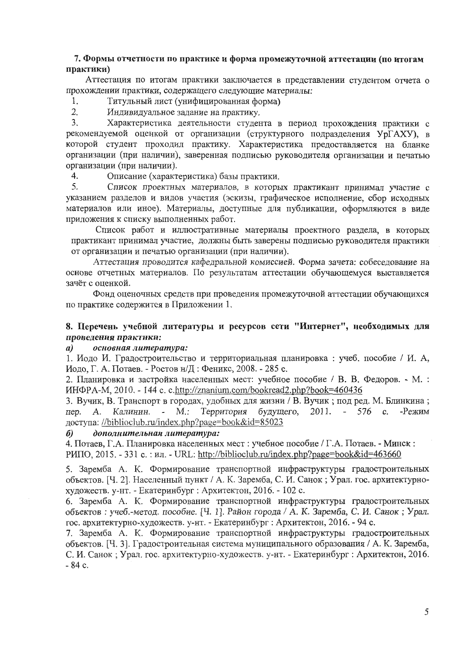### 7. Формы отчетности по практике и форма промежуточной аттестации (по итогам практики)

Аттестация по итогам практики заключается в представлении студентом отчета о прохождении практики, содержащего следующие материалы:

1. Титульный лист (унифицированная форма)

 $2.$ Индивидуальное задание на практику.

 $3.$ Характеристика деятельности студента в период прохождения практики с рекомендуемой оценкой от организации (структурного подразделения УрГАХУ), в которой студент проходил практику. Характеристика предоставляется на бланке организации (при наличии), заверенная подписью руководителя организации и печатью организации (при наличии).

4. Описание (характеристика) базы практики.

5. Список проектных материалов, в которых практикант принимал участие с указанием разделов и видов участия (эскизы, графическое исполнение, сбор исходных материалов или иное). Материалы, доступные для публикации, оформляются в виде приложения к списку выполненных работ.

Список работ и иллюстративные материалы проектного раздела, в которых практикант принимал участие, должны быть заверены подписью руководителя практики от организации и печатью организации (при наличии).

Аттестация проводится кафедральной комиссией. Форма зачета: собеседование на основе отчетных материалов. По результатам аттестации обучающемуся выставляется зачёт с оценкой.

Фонд оценочных средств при проведения промежуточной аттестации обучающихся по практике содержится в Приложении 1.

# 8. Перечень учебной литературы и ресурсов сети "Интернет", необходимых для проведения практики:

#### основная литература:  $\boldsymbol{a}$

1. Иодо И. Градостроительство и территориальная планировка: учеб. пособие / И. А, Иодо, Г. А. Потаев. - Ростов н/Д: Феникс, 2008. - 285 с.

2. Планировка и застройка населенных мест: учебное пособие / В. В. Федоров. - М. : ИНФРА-М, 2010. - 144 с. c.http://znanium.com/bookread2.php?book=460436

3. Вучик, В. Транспорт в городах, удобных для жизни / В. Вучик; под ред. М. Блинкина; Калинин. - М.: Территория будущего, 2011. - 576 с. -Режим пер. A. доступа: //biblioclub.ru/index.php?page=book&id=85023

#### дополнительная литература:  $\boldsymbol{\delta}$

4. Потаев, Г.А. Планировка населенных мест : учебное пособие / Г.А. Потаев. - Минск: РИПО, 2015. - 331 с.: ил. - URL: http://biblioclub.ru/index.php?page=book&id=463660

5. Заремба А. К. Формирование транспортной инфраструктуры градостроительных объектов. [Ч. 2]. Населенный пункт / А. К. Заремба, С. И. Санок; Урал. гос. архитектурнохудожеств. у-нт. - Екатеринбург : Архитектон, 2016. - 102 с.

6. Заремба А. К. Формирование транспортной инфраструктуры градостроительных объектов: учеб.-метод. пособие. [Ч. 1]. Район города / А. К. Заремба, С. И. Санок; Урал. гос. архитектурно-художеств. у-нт. - Екатеринбург : Архитектон, 2016. - 94 с.

7. Заремба А. К. Формирование транспортной инфраструктуры градостроительных объектов. [Ч. 3]. Градостроительная система муниципального образования / А. К. Заремба, С. И. Санок; Урал. гос. архитектурно-художеств. у-нт. - Екатеринбург: Архитектон, 2016.  $-84$  c.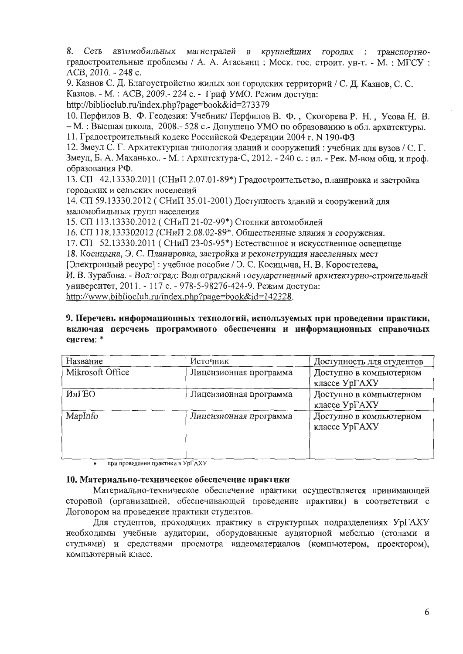8. Сеть автомобильных магистралей в крупнейших городах : транспортноградостроительные проблемы / А. А. Агасьянц; Моск. гос. строит. ун-т. - М.: МГСУ: ACB, 2010. - 248 c.

9. Казнов С. Д. Благоустройство жилых зон городских территорий / С. Д. Казнов, С. С. Казнов. - М.: АСВ, 2009.- 224 с. - Гриф УМО. Режим доступа: http://biblioclub.ru/index.php?page=book&id=273379

10. Перфилов В. Ф. Геодезия: Учебник/Перфилов В. Ф., Скогорева Р. Н., Усова Н. В. - М.: Высшая школа, 2008.- 528 с.- Допущено УМО по образованию в обл. архитектуры. 11. Градостроительный кодекс Российской Федерации 2004 г. N 190-ФЗ

12. Змеул С. Г. Архитектурная типология зданий и сооружений: учебник для вузов / С. Г. Змеул, Б. А. Маханько.. - М.: Архитектура-С, 2012. - 240 с.: ил. - Рек. М-вом общ. и проф. образования РФ.

13. СП 42.13330.2011 (СНиП 2.07.01-89\*) Градостроительство, планировка и застройка городских и сельских поселений

14. СП 59.13330.2012 (СНиП 35.01-2001) Доступность зданий и сооружений для маломобильных групп населения

15. СП 113.13330.2012 (СНиП 21-02-99\*) Стоянки автомобилей

16. СП 118.133302012 (СНиП 2.08.02-89\*. Общественные здания и сооружения.

17. СП  $52.13330.2011$  (СНиП 23-05-95\*) Естественное и искусственное освещение

18. Косицына, Э. С. Планировка, застройка и реконструкция населенных мест

[Электронный ресурс]: учебное пособие / Э. С. Косицына, Н. В. Коростелева,

И. В. Зурабова. - Волгоград: Волгоградский государственный архитектурно-строительный университет, 2011. - 117 с. - 978-5-98276-424-9. Режим доступа:

http://www.biblioclub.ru/index.php?page=book&id=142328.

### 9. Перечень информационных технологий, используемых при проведении практики, включая перечень программного обеспечения и информационных справочных систем: \*

| Название         | Источник               | Доступность для студентов                |
|------------------|------------------------|------------------------------------------|
| Mikrosoft Office | Лицензионная программа | Доступно в компьютерном<br>классе УрГАХУ |
| ИнГЕО            | Лицензионная программа | Доступно в компьютерном<br>классе УрГАХУ |
| MapInfo          | Лицензионная программа | Доступно в компьютерном<br>классе УрГАХУ |

при проведении практики в УрГАХУ  $\bullet$ 

#### 10. Материально-техническое обеспечение практики

Материально-техническое обеспечение практики осуществляется принимающей стороной (организацией, обеспечивающей проведение практики) в соответствии с Договором на проведение практики студентов.

Для студентов, проходящих практику в структурных подразделениях УрГАХУ необходимы учебные аудитории, оборудованные аудиторной мебелью (столами и стульями) и средствами просмотра видеоматериалов (компьютером, проектором), компьютерный класс.